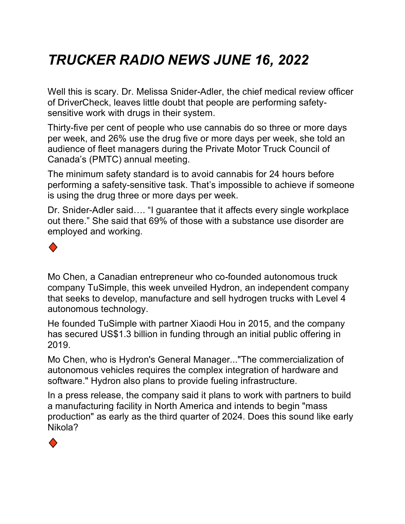## *TRUCKER RADIO NEWS JUNE 16, 2022*

Well this is scary. Dr. Melissa Snider-Adler, the chief medical review officer of DriverCheck, leaves little doubt that people are performing safetysensitive work with drugs in their system.

Thirty-five per cent of people who use cannabis do so three or more days per week, and 26% use the drug five or more days per week, she told an audience of fleet managers during the Private Motor Truck Council of Canada's (PMTC) annual meeting.

The minimum safety standard is to avoid cannabis for 24 hours before performing a safety-sensitive task. That's impossible to achieve if someone is using the drug three or more days per week.

Dr. Snider-Adler said…. "I guarantee that it affects every single workplace out there." She said that 69% of those with a substance use disorder are employed and working.



Mo Chen, a Canadian entrepreneur who co-founded autonomous truck company TuSimple, this week unveiled Hydron, an independent company that seeks to develop, manufacture and sell hydrogen trucks with Level 4 autonomous technology.

He founded TuSimple with partner Xiaodi Hou in 2015, and the company has secured US\$1.3 billion in funding through an initial public offering in 2019.

Mo Chen, who is Hydron's General Manager..."The commercialization of autonomous vehicles requires the complex integration of hardware and software." Hydron also plans to provide fueling infrastructure.

In a press release, the company said it plans to work with partners to build a manufacturing facility in North America and intends to begin "mass production" as early as the third quarter of 2024. Does this sound like early Nikola?